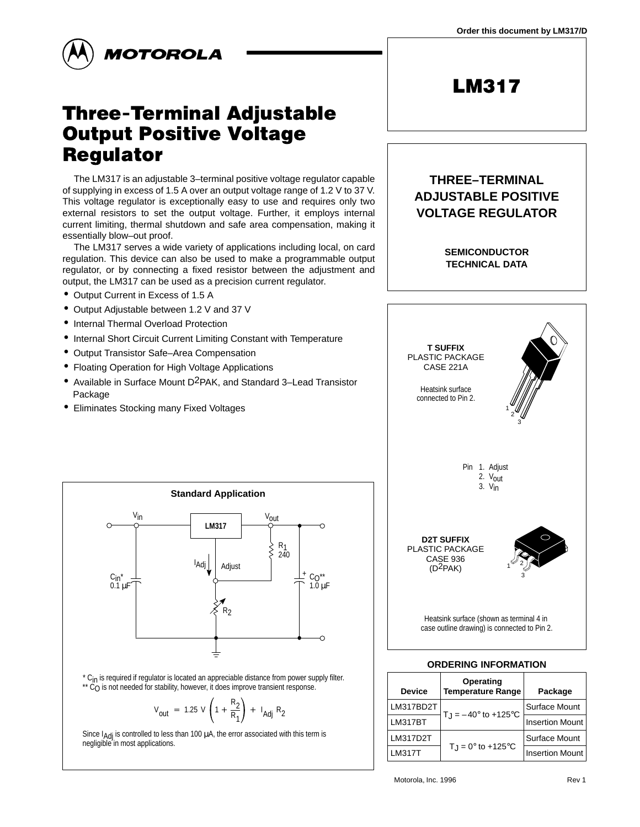

# Three-Terminal Adjustable **Output Positive Voltage Requlator**

The LM317 is an adjustable 3–terminal positive voltage regulator capable of supplying in excess of 1.5 A over an output voltage range of 1.2 V to 37 V. This voltage regulator is exceptionally easy to use and requires only two external resistors to set the output voltage. Further, it employs internal current limiting, thermal shutdown and safe area compensation, making it essentially blow–out proof.

The LM317 serves a wide variety of applications including local, on card regulation. This device can also be used to make a programmable output regulator, or by connecting a fixed resistor between the adjustment and output, the LM317 can be used as a precision current regulator.

- Output Current in Excess of 1.5 A
- Output Adjustable between 1.2 V and 37 V
- Internal Thermal Overload Protection
- Internal Short Circuit Current Limiting Constant with Temperature
- Output Transistor Safe–Area Compensation
- Floating Operation for High Voltage Applications
- Available in Surface Mount D2PAK, and Standard 3–Lead Transistor Package

**Standard Application**

**LM317** V<sub>in</sub> V<sub>out</sub>

 $\lceil \text{Adj} \rceil \rceil$  Adjust

\* C<sub>in</sub> is required if regulator is located an appreciable distance from power supply filter.  $*$  C<sub>O</sub> is not needed for stability, however, it does improve transient response.

R<sub>2</sub>

 $\frac{R_2}{R_1}$  +  $I_{Adj} R_2$ 

R1 240

+ C<sub>O</sub>\*\*<br>1.0 μF

 $\Omega$ 

Since  $I_{\text{Adj}}$  is controlled to less than 100  $\mu$ A, the error associated with this term is

 $V_{\text{out}}$  = 1.25 V  $\left(1 + \frac{R_2}{R_1}\right)$ 

negligible in most applications.

C<sub>in</sub>\*<br>0.1 μF

• Eliminates Stocking many Fixed Voltages



**D2T SUFFIX** PLASTIC PACKAGE CASE 936 (D2PAK)

> Heatsink surface (shown as terminal 4 in case outline drawing) is connected to Pin 2.

3  $1^{\varphi}$  2

### **ORDERING INFORMATION**

| <b>Device</b>  | Operating<br><b>Temperature Range</b> | Package                |  |
|----------------|---------------------------------------|------------------------|--|
| LM317BD2T      | $T_{\rm J} = -40^{\circ}$ to +125 °C  | Surface Mount          |  |
| <b>LM317BT</b> |                                       | <b>Insertion Mount</b> |  |
| LM317D2T       |                                       | Surface Mount          |  |
| $-M317T$       | $T_J = 0^\circ$ to +125 $\circ$ C     | <b>Insertion Mount</b> |  |

**MOTOROLA ANALOG IC DEVICE DATA 1** © Motorola, Inc. 1996 Rev 1



**LM317**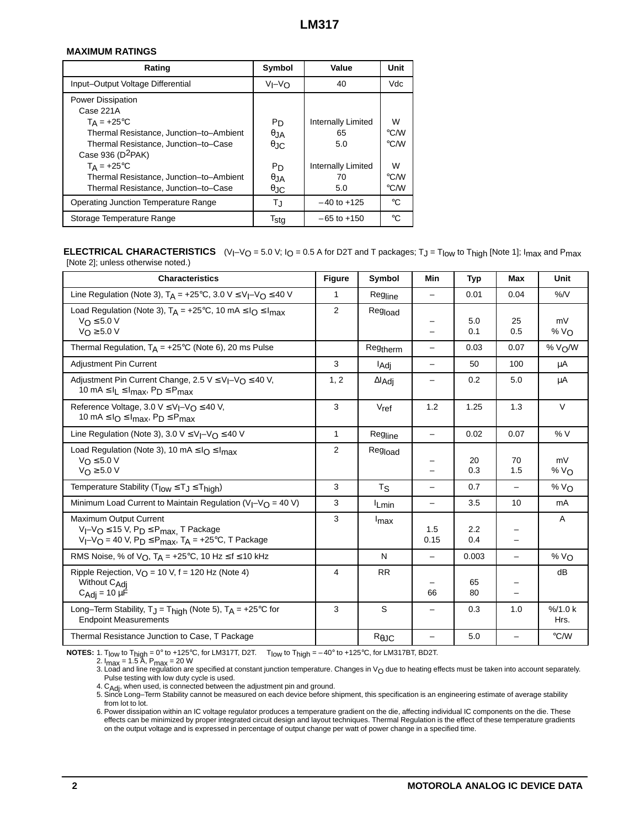### **MAXIMUM RATINGS**

| Rating                                  | Symbol         | Value              | Unit          |
|-----------------------------------------|----------------|--------------------|---------------|
| Input-Output Voltage Differential       | $V_I - V_O$    | 40                 | Vdc           |
| <b>Power Dissipation</b>                |                |                    |               |
| Case 221A                               |                |                    |               |
| $T_A = +25^{\circ}C$                    | P <sub>D</sub> | Internally Limited | W             |
| Thermal Resistance, Junction-to-Ambient | $\theta$ .IA   | 65                 | $\degree$ C/W |
| Thermal Resistance, Junction-to-Case    | $\theta$ JC    | 5.0                | $\degree$ C/W |
| Case 936 (D <sup>2</sup> PAK)           |                |                    |               |
| $T_A = +25$ °C                          | P <sub>D</sub> | Internally Limited | w             |
| Thermal Resistance, Junction-to-Ambient | $\theta$ , JA  | 70                 | $\degree$ C/W |
| Thermal Resistance, Junction-to-Case    | θJC            | 5.0                | $\degree$ C/W |
| Operating Junction Temperature Range    | TJ             | $-40$ to $+125$    | °C            |
| Storage Temperature Range               | Tsta           | $-65$ to $+150$    | °C            |

### **ELECTRICAL CHARACTERISTICS**  $(V_1-V_0 = 5.0 V; I_0 = 0.5 A$  for D2T and T packages; T<sub>J</sub> = T<sub>low</sub> to T<sub>high</sub> [Note 1]; I<sub>max</sub> and P<sub>max</sub> [Note 2]; unless otherwise noted.)

| <b>Characteristics</b>                                                                                                                           |              | Symbol                  | Min                      | <b>Typ</b> | Max                      | Unit                 |
|--------------------------------------------------------------------------------------------------------------------------------------------------|--------------|-------------------------|--------------------------|------------|--------------------------|----------------------|
| Line Regulation (Note 3), $T_A = +25^{\circ}C$ , 3.0 V $\leq V_I - V_O \leq 40$ V                                                                | 1            | Regline                 | $\overline{\phantom{0}}$ | 0.01       | 0.04                     | $\%$ /V              |
| Load Regulation (Note 3), $T_A = +25^{\circ}C$ , 10 mA $\leq I_O \leq I_{max}$<br>$V_O \leq 5.0 V$<br>$V_{\bigcap} \geq 5.0 V$                   |              | Regload                 |                          | 5.0<br>0.1 | 25<br>0.5                | mV<br>% $V_{\Omega}$ |
| Thermal Regulation, $T_A = +25^{\circ}C$ (Note 6), 20 ms Pulse                                                                                   |              | Regtherm                | -                        | 0.03       | 0.07                     | % V <sub>O</sub> /W  |
| <b>Adjustment Pin Current</b>                                                                                                                    | 3            | l <sub>Adj</sub>        | -                        | 50         | 100                      | μA                   |
| Adjustment Pin Current Change, 2.5 $V \le V_I - V_O \le 40 V$ ,<br>10 mA $\leq$ $I_L \leq I_{max}$ , $P_D \leq P_{max}$                          |              | $\Delta I_{\text{Adj}}$ | -                        | 0.2        | 5.0                      | μA                   |
| Reference Voltage, 3.0 $V \leq V_I - V_O \leq 40 V$ ,<br>10 mA $\leq$ $I_{O} \leq I_{max}$ , $P_D \leq P_{max}$                                  |              | $V_{ref}$               | 1.2                      | 1.25       | 1.3                      | $\vee$               |
| Line Regulation (Note 3), 3.0 $V \leq V_I - V_O \leq 40 V$                                                                                       | $\mathbf{1}$ | Regline                 | -                        | 0.02       | 0.07                     | %V                   |
| Load Regulation (Note 3), 10 mA $\leq$ I <sub>O</sub> $\leq$ I <sub>max</sub><br>$V_O \leq 5.0 V$<br>$V_{\Omega} \geq 5.0 V$                     | 2            | Regload                 |                          | 20<br>0.3  | 70<br>1.5                | mV<br>% $V_{\Omega}$ |
| Temperature Stability ( $T_{low} \le T_J \le T_{high}$ )                                                                                         | 3            | $T_{\mathbf{S}}$        | $\overline{\phantom{0}}$ | 0.7        | $\overline{\phantom{m}}$ | % $V_{\Omega}$       |
| Minimum Load Current to Maintain Regulation ( $V_I - V_O = 40 V$ )                                                                               | 3            | <sup>I</sup> Lmin       | $\overline{\phantom{0}}$ | 3.5        | 10                       | mA                   |
| Maximum Output Current<br>$V_I-V_O \le 15 V$ , $P_D \le P_{max}$ , T Package<br>$V_I-V_O = 40 V$ , $P_D \le P_{max}$ , $T_A = +25°C$ , T Package |              | Imax                    | 1.5<br>0.15              | 2.2<br>0.4 |                          | A                    |
| RMS Noise, % of $V_O$ , $T_A = +25$ °C, 10 Hz $\leq f \leq 10$ kHz                                                                               |              | N                       | $\qquad \qquad -$        | 0.003      | $\overline{\phantom{0}}$ | % $V_{\Omega}$       |
| Ripple Rejection, $V_O = 10 V$ , f = 120 Hz (Note 4)<br>Without C <sub>Adi</sub><br>$C_{\text{Adj}} = 10 \mu \dot{F}$                            |              | <b>RR</b>               | 66                       | 65<br>80   |                          | dB                   |
| Long-Term Stability, $T_J = T_{high}$ (Note 5), $T_A = +25^{\circ}C$ for<br><b>Endpoint Measurements</b>                                         |              | S                       | -                        | 0.3        | 1.0                      | % / 1.0 k<br>Hrs.    |
| Thermal Resistance Junction to Case, T Package                                                                                                   |              | $R_{\theta$ JC          |                          | 5.0        |                          | $\degree$ C/W        |

**NOTES:** 1. Tlow to Thigh = 0° to +125°C, for LM317T, D2T. Tlow to Thigh = – 40° to +125°C, for LM317BT, BD2T.

2. I<sub>max</sub> = 1.5 A, P<sub>max</sub> = 20 W

3. Load and line regulation are specified at constant junction temperature. Changes in V<sub>O</sub> due to heating effects must be taken into account separately. Pulse testing with low duty cycle is used.

4. C<sub>Adj</sub>, when used, is connected between the adjustment pin and ground.<br>5. Since Long–Term Stability cannot be measured on each device before shipment, this specification is an engineering estimate of average stability from lot to lot.

6. Power dissipation within an IC voltage regulator produces a temperature gradient on the die, affecting individual IC components on the die. These effects can be minimized by proper integrated circuit design and layout techniques. Thermal Regulation is the effect of these temperature gradients on the output voltage and is expressed in percentage of output change per watt of power change in a specified time.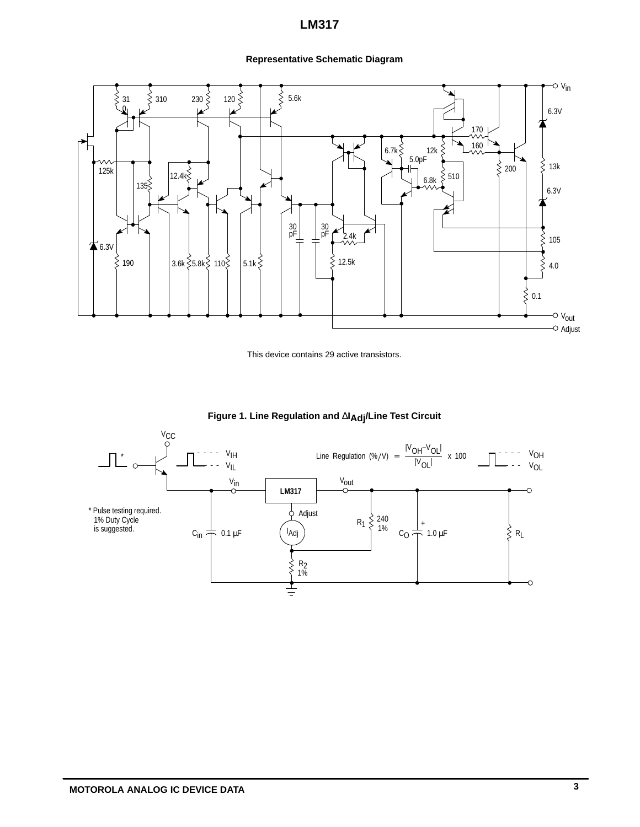# **Representative Schematic Diagram**



This device contains 29 active transistors.



**Figure 1. Line Regulation and** ∆**IAdj/Line Test Circuit**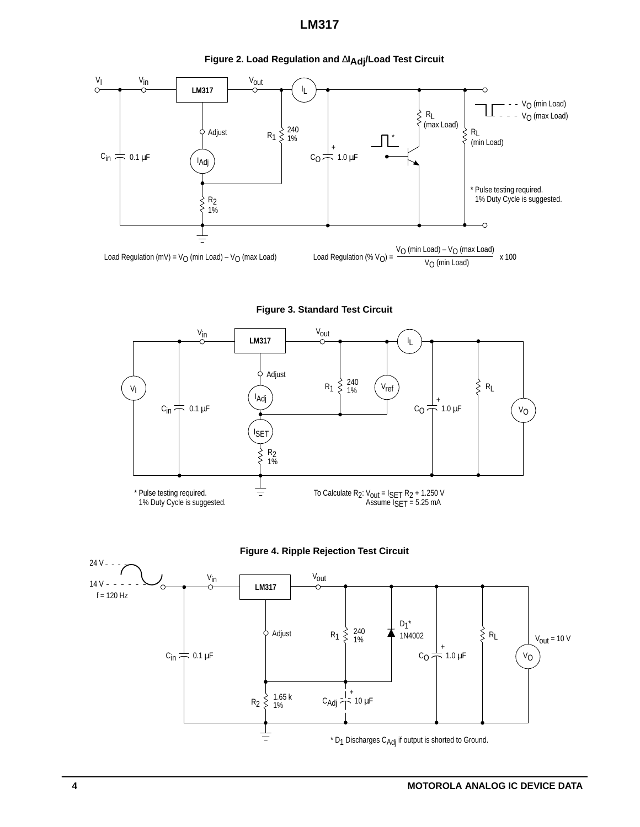

**Figure 2. Load Regulation and** ∆**IAdj/Load Test Circuit**







1.65 k  $C_{\text{Adj}} \stackrel{!}{\leftarrow} 10 \,\mu\text{F}$ 

 $C_{in} \neq 0.1 \,\mu F$ 

 $R<sub>2</sub>$ 

 $\tilde{\xi}$ 

 $\pm$ 

1.65 k<br>1%



CO

 $*$  D<sub>1</sub> Discharges C<sub>Adj</sub> if output is shorted to Ground.

VO

24 V

 $14 V - -$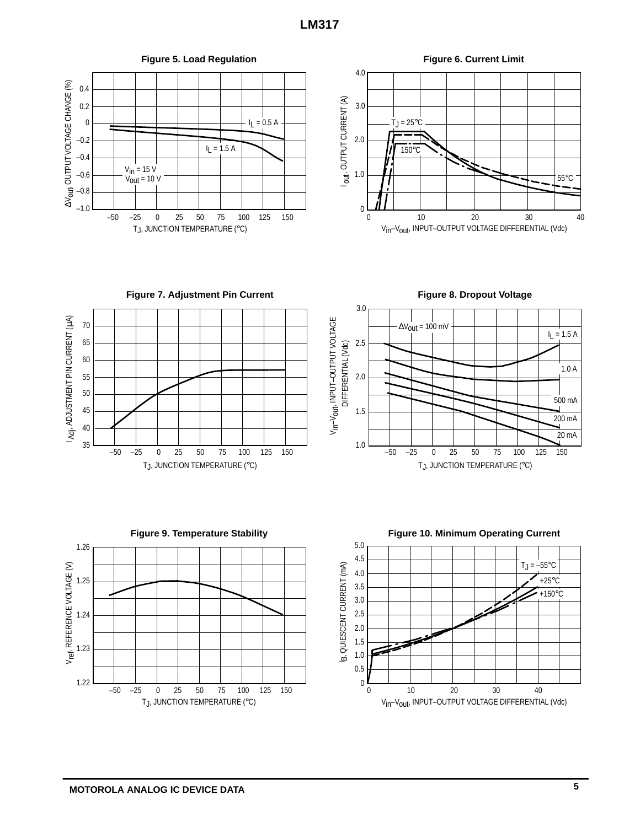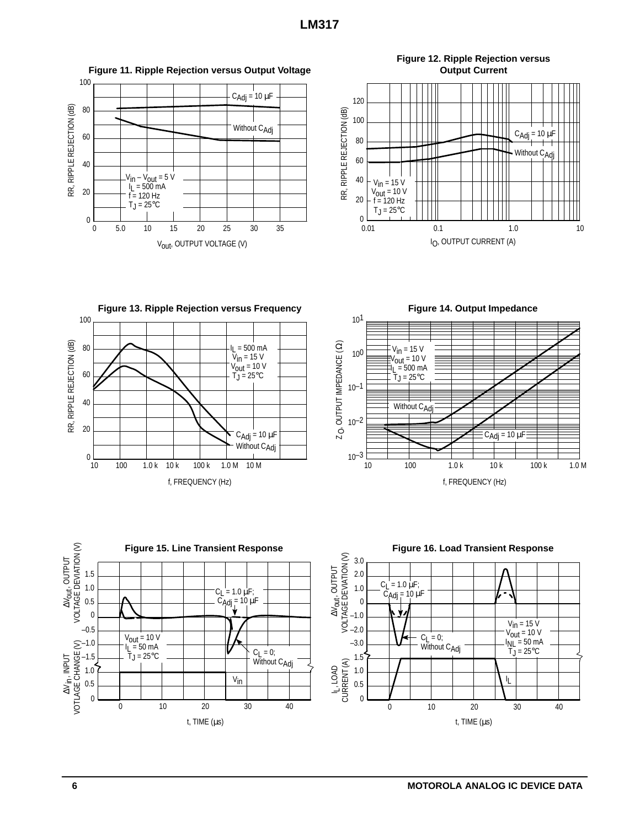





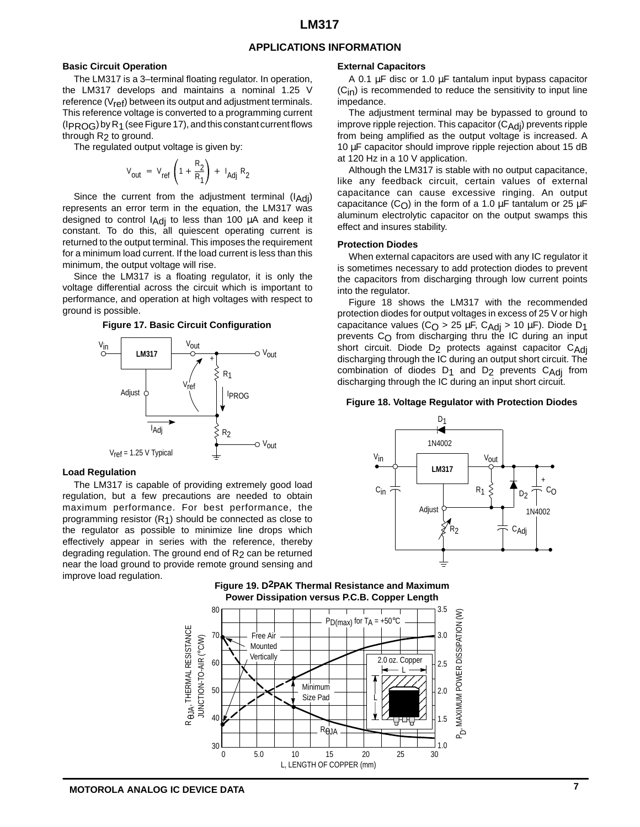### **APPLICATIONS INFORMATION**

#### **Basic Circuit Operation**

The LM317 is a 3–terminal floating regulator. In operation, the LM317 develops and maintains a nominal 1.25 V reference  $(V_{ref})$  between its output and adjustment terminals. This reference voltage is converted to a programming current (IPROG) by R1 (see Figure 17), and this constant current flows through R<sub>2</sub> to ground.

The regulated output voltage is given by:

$$
V_{\text{out}} = V_{\text{ref}} \left( 1 + \frac{R_2}{R_1} \right) + I_{\text{Adj}} R_2
$$

Since the current from the adjustment terminal  $(I<sub>Adj</sub>)$ represents an error term in the equation, the LM317 was designed to control  $I_{\text{Adj}}$  to less than 100  $\mu$ A and keep it constant. To do this, all quiescent operating current is returned to the output terminal. This imposes the requirement for a minimum load current. If the load current is less than this minimum, the output voltage will rise.

Since the LM317 is a floating regulator, it is only the voltage differential across the circuit which is important to performance, and operation at high voltages with respect to ground is possible.

#### **Figure 17. Basic Circuit Configuration**



#### **Load Regulation**

The LM317 is capable of providing extremely good load regulation, but a few precautions are needed to obtain maximum performance. For best performance, the programming resistor (R1) should be connected as close to the regulator as possible to minimize line drops which effectively appear in series with the reference, thereby degrading regulation. The ground end of  $R<sub>2</sub>$  can be returned near the load ground to provide remote ground sensing and improve load regulation.

#### **External Capacitors**

A 0.1 µF disc or 1.0 µF tantalum input bypass capacitor  $(C<sub>in</sub>)$  is recommended to reduce the sensitivity to input line impedance.

The adjustment terminal may be bypassed to ground to improve ripple rejection. This capacitor  $(C_{\text{Adj}})$  prevents ripple from being amplified as the output voltage is increased. A 10 µF capacitor should improve ripple rejection about 15 dB at 120 Hz in a 10 V application.

Although the LM317 is stable with no output capacitance, like any feedback circuit, certain values of external capacitance can cause excessive ringing. An output capacitance (C<sub>O</sub>) in the form of a 1.0  $\mu$ F tantalum or 25  $\mu$ F aluminum electrolytic capacitor on the output swamps this effect and insures stability.

#### **Protection Diodes**

When external capacitors are used with any IC regulator it is sometimes necessary to add protection diodes to prevent the capacitors from discharging through low current points into the regulator.

Figure 18 shows the LM317 with the recommended protection diodes for output voltages in excess of 25 V or high capacitance values ( $C_{\text{O}}$  > 25 µF,  $C_{\text{Adj}}$  > 10 µF). Diode D<sub>1</sub> prevents C<sub>O</sub> from discharging thru the IC during an input short circuit. Diode D<sub>2</sub> protects against capacitor C<sub>Adi</sub> discharging through the IC during an output short circuit. The combination of diodes  $D_1$  and  $D_2$  prevents  $C_{\text{Adj}}$  from discharging through the IC during an input short circuit.

#### **Figure 18. Voltage Regulator with Protection Diodes**



**Figure 19. D2PAK Thermal Resistance and Maximum Power Dissipation versus P.C.B. Copper Length**

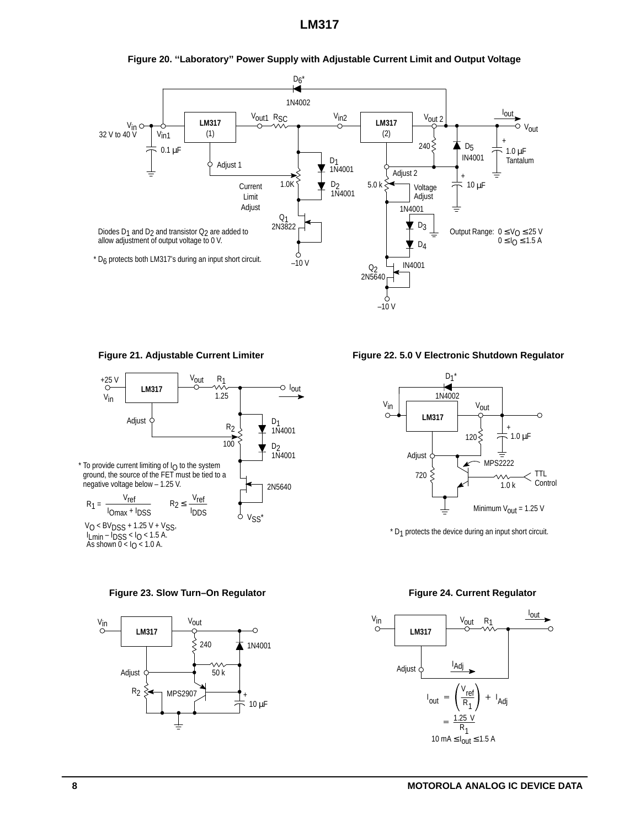





Figure 23. Slow Turn–On Regulator **Figure 24. Current Regulator** Figure 24. Current Regulator



Figure 21. Adjustable Current Limiter **Figure 22.5.0 V Electronic Shutdown Regulator** 



 $*$  D<sub>1</sub> protects the device during an input short circuit.

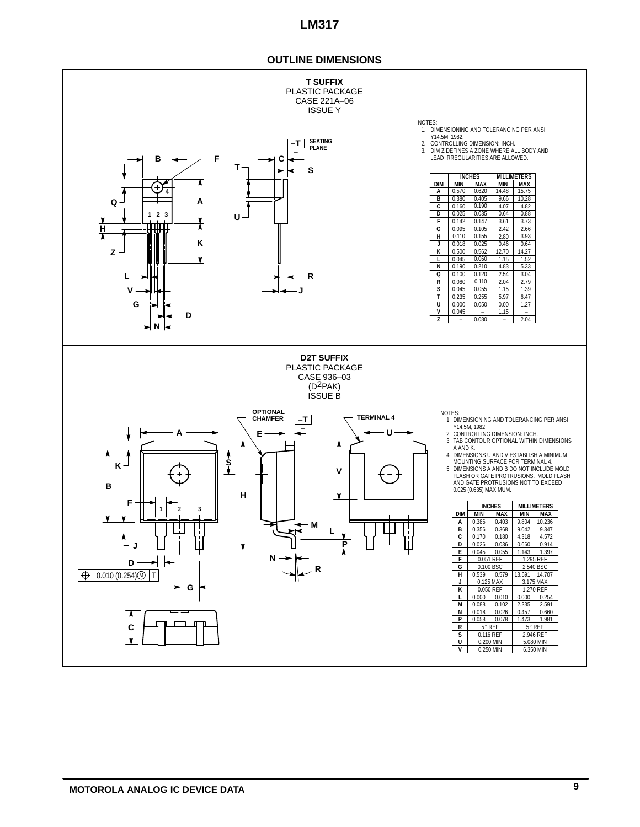# **OUTLINE DIMENSIONS**